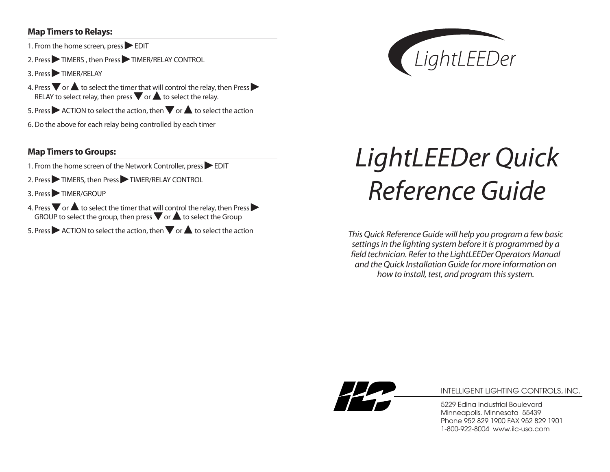#### **MapTimers to Relays:**

- 1. From the home screen, press EDIT
- 2. Press TIMERS, then Press TIMER/RELAY CONTROL
- 3. Press TIMER/RELAY
- **4. Press**  $\blacktriangledown$  **or**  $\blacktriangle$  **to select the time<u>r th</u>at will control the relay, then Press**  $\blacktriangleright$ Press  $\blacktriangledown$  or  $\blacktriangle$  to select the timer that will control the relay, t<br>RELAY to select relay, then press  $\blacktriangledown$  or  $\blacktriangle$  to select the relay.
- 5. Press ▶ ACTION to select the action, then ▼ or ▲ to select the action
- 6. Do the above for each relay being controlled by each timer

## **MapTimers toGroups:**

- 1. From the home screen of the Network Controller, press  $\triangleright$  EDIT
- 2. Press TIMERS, then Press TIMER/RELAY CONTROL
- 3. Press TIMER/GROUP
- **4. Press**  $\blacktriangledown$  **or**  $\blacktriangle$  **to select the timer that <u>will</u> control the relay, then Press**  $\blacktriangleright$ Press  $\blacktriangledown$  or  $\blacktriangle$  to select the timer that will control the relay, then Pre<br>GROUP to select the group, then press  $\blacktriangledown$  or  $\blacktriangle$  to select the Group
- 5. Press ▶ ACTION to select the action, then ▼ or ▲ to select the action



# *LightLEEDer Quick Reference Guide*

*ThisQuick ReferenceGuide will help you program a few basic settingsin the lighting system before itis programmed by a field technician. Referto the LightLEEDerOperatorsManual and theQuick InstallationGuide for more information on how to install, test, and program this system.* 



#### INTELLIGENT LIGHTING CONTROLS, INC.

5229 Edina Industrial Boulevard Minneapolis. Minnesota 55439 Phone 952 829 1900 FAX 952 829 1901 1-800-922-8004 www.ilc-usa.com